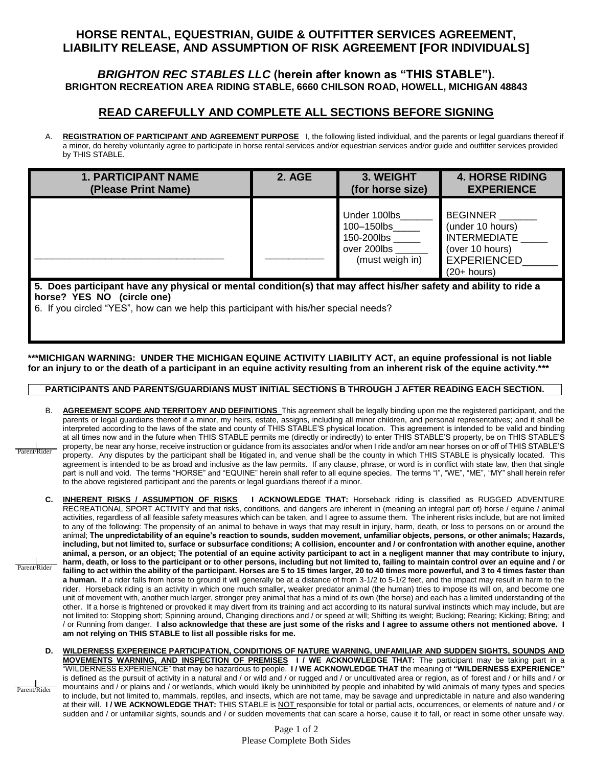# **HORSE RENTAL, EQUESTRIAN, GUIDE & OUTFITTER SERVICES AGREEMENT, LIABILITY RELEASE, AND ASSUMPTION OF RISK AGREEMENT [FOR INDIVIDUALS]**

### *BRIGHTON REC STABLES LLC* **(herein after known as "THIS STABLE"). BRIGHTON RECREATION AREA RIDING STABLE, 6660 CHILSON ROAD, HOWELL, MICHIGAN 48843**

## **READ CAREFULLY AND COMPLETE ALL SECTIONS BEFORE SIGNING**

A. **REGISTRATION OF PARTICIPANT AND AGREEMENT PURPOSE** I, the following listed individual, and the parents or legal guardians thereof if a minor, do hereby voluntarily agree to participate in horse rental services and/or equestrian services and/or guide and outfitter services provided by THIS STABLE.

| <b>1. PARTICIPANT NAME</b> | <b>2. AGE</b> | 3. WEIGHT                                                                  | <b>4. HORSE RIDING</b>                                                                                               |
|----------------------------|---------------|----------------------------------------------------------------------------|----------------------------------------------------------------------------------------------------------------------|
| (Please Print Name)        |               | (for horse size)                                                           | <b>EXPERIENCE</b>                                                                                                    |
|                            |               | Under 100lbs<br>100–150lbs<br>150-200lbs<br>over 200lbs<br>(must weigh in) | <b>BEGINNER</b><br>(under 10 hours)<br><b>INTERMEDIATE</b><br>(over 10 hours)<br><b>EXPERIENCED</b><br>$(20+ hours)$ |

**5. Does participant have any physical or mental condition(s) that may affect his/her safety and ability to ride a horse? YES NO (circle one)**

6. If you circled "YES", how can we help this participant with his/her special needs?

### **\*\*\*MICHIGAN WARNING: UNDER THE MICHIGAN EQUINE ACTIVITY LIABILITY ACT, an equine professional is not liable for an injury to or the death of a participant in an equine activity resulting from an inherent risk of the equine activity.\*\*\***

#### **PARTICIPANTS AND PARENTS/GUARDIANS MUST INITIAL SECTIONS B THROUGH J AFTER READING EACH SECTION.**

- B. **AGREEMENT SCOPE AND TERRITORY AND DEFINITIONS** This agreement shall be legally binding upon me the registered participant, and the parents or legal guardians thereof if a minor, my heirs, estate, assigns, including all minor children, and personal representatives; and it shall be interpreted according to the laws of the state and county of THIS STABLE'S physical location. This agreement is intended to be valid and binding at all times now and in the future when THIS STABLE permits me (directly or indirectly) to enter THIS STABLE'S property, be on THIS STABLE'S property, be near any horse, receive instruction or guidance from its associates and/or when I ride and/or am near horses on or off of THIS STABLE'S property. Any disputes by the participant shall be litigated in, and venue shall be the county in which THIS STABLE is physically located. This agreement is intended to be as broad and inclusive as the law permits. If any clause, phrase, or word is in conflict with state law, then that single part is null and void. The terms "HORSE" and "EQUINE" herein shall refer to all equine species. The terms "I", "WE", "ME", "MY" shall herein refer to the above registered participant and the parents or legal guardians thereof if a minor. Parent/Rider
- **C. INHERENT RISKS / ASSUMPTION OF RISKS I ACKNOWLEDGE THAT:** Horseback riding is classified as RUGGED ADVENTURE RECREATIONAL SPORT ACTIVITY and that risks, conditions, and dangers are inherent in (meaning an integral part of) horse / equine / animal activities, regardless of all feasible safety measures which can be taken, and I agree to assume them. The inherent risks include, but are not limited to any of the following: The propensity of an animal to behave in ways that may result in injury, harm, death, or loss to persons on or around the animal; **The unpredictability of an equine's reaction to sounds, sudden movement, unfamiliar objects, persons, or other animals; Hazards, including, but not limited to, surface or subsurface conditions; A collision, encounter and / or confrontation with another equine, another animal, a person, or an object; The potential of an equine activity participant to act in a negligent manner that may contribute to injury, harm, death, or loss to the participant or to other persons, including but not limited to, failing to maintain control over an equine and / or**  failing to act within the ability of the participant. Horses are 5 to 15 times larger, 20 to 40 times more powerful, and 3 to 4 times faster than **a human.** If a rider falls from horse to ground it will generally be at a distance of from 3-1/2 to 5-1/2 feet, and the impact may result in harm to the rider. Horseback riding is an activity in which one much smaller, weaker predator animal (the human) tries to impose its will on, and become one unit of movement with, another much larger, stronger prey animal that has a mind of its own (the horse) and each has a limited understanding of the other. If a horse is frightened or provoked it may divert from its training and act according to its natural survival instincts which may include, but are not limited to: Stopping short; Spinning around, Changing directions and / or speed at will; Shifting its weight; Bucking; Rearing; Kicking; Biting; and / or Running from danger. **I also acknowledge that these are just some of the risks and I agree to assume others not mentioned above. I am not relying on THIS STABLE to list all possible risks for me.**  Parent/Rider
- **D. WILDERNESS EXPEREINCE PARTICIPATION, CONDITIONS OF NATURE WARNING, UNFAMILIAR AND SUDDEN SIGHTS, SOUNDS AND MOVEMENTS WARNING, AND INSPECTION OF PREMISES I / WE ACKNOWLEDGE THAT:** The participant may be taking part in a "WILDERNESS EXPERIENCE" that may be hazardous to people. **I / WE ACKNOWLEDGE THAT** the meaning of **"WILDERNESS EXPERIENCE"** is defined as the pursuit of activity in a natural and / or wild and / or rugged and / or uncultivated area or region, as of forest and / or hills and / or mountains and / or plains and / or wetlands, which would likely be uninhibited by people and inhabited by wild animals of many types and species to include, but not limited to, mammals, reptiles, and insects, which are not tame, may be savage and unpredictable in nature and also wandering at their will. **I / WE ACKNOWLEDGE THAT:** THIS STABLE is NOT responsible for total or partial acts, occurrences, or elements of nature and / or sudden and / or unfamiliar sights, sounds and / or sudden movements that can scare a horse, cause it to fall, or react in some other unsafe way. Parent/Rider